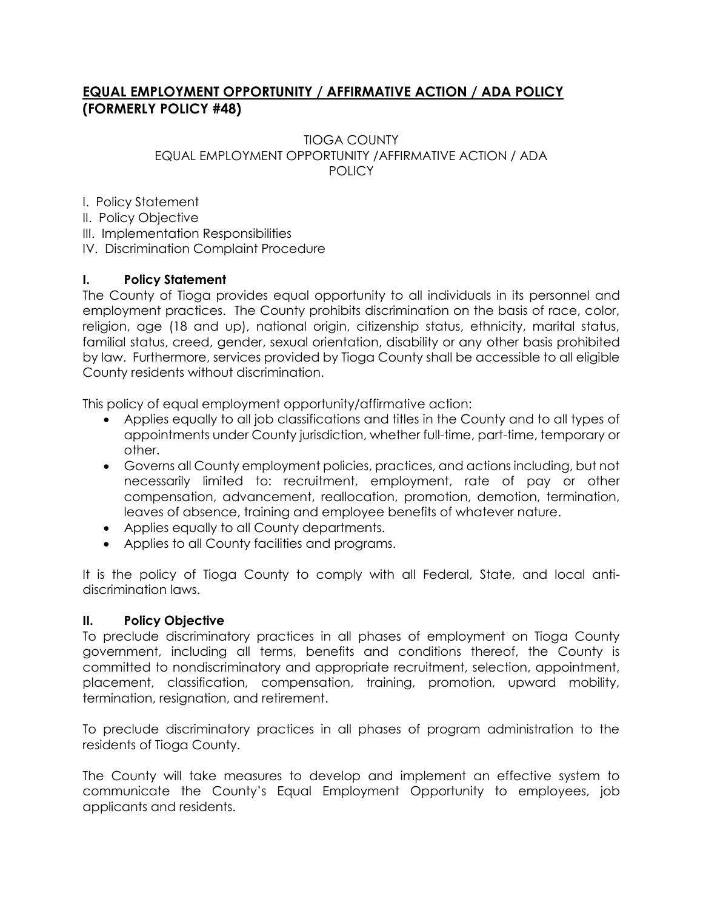## **EQUAL EMPLOYMENT OPPORTUNITY / AFFIRMATIVE ACTION / ADA POLICY (FORMERLY POLICY #48)**

#### TIOGA COUNTY EQUAL EMPLOYMENT OPPORTUNITY /AFFIRMATIVE ACTION / ADA **POLICY**

I. Policy Statement

II. Policy Objective

III. Implementation Responsibilities

IV. Discrimination Complaint Procedure

# **I. Policy Statement**

The County of Tioga provides equal opportunity to all individuals in its personnel and employment practices. The County prohibits discrimination on the basis of race, color, religion, age (18 and up), national origin, citizenship status, ethnicity, marital status, familial status, creed, gender, sexual orientation, disability or any other basis prohibited by law. Furthermore, services provided by Tioga County shall be accessible to all eligible County residents without discrimination.

This policy of equal employment opportunity/affirmative action:

- Applies equally to all job classifications and titles in the County and to all types of appointments under County jurisdiction, whether full-time, part-time, temporary or other.
- Governs all County employment policies, practices, and actions including, but not necessarily limited to: recruitment, employment, rate of pay or other compensation, advancement, reallocation, promotion, demotion, termination, leaves of absence, training and employee benefits of whatever nature.
- Applies equally to all County departments.
- Applies to all County facilities and programs.

It is the policy of Tioga County to comply with all Federal, State, and local antidiscrimination laws.

## **II. Policy Objective**

To preclude discriminatory practices in all phases of employment on Tioga County government, including all terms, benefits and conditions thereof, the County is committed to nondiscriminatory and appropriate recruitment, selection, appointment, placement, classification, compensation, training, promotion, upward mobility, termination, resignation, and retirement.

To preclude discriminatory practices in all phases of program administration to the residents of Tioga County.

The County will take measures to develop and implement an effective system to communicate the County's Equal Employment Opportunity to employees, job applicants and residents.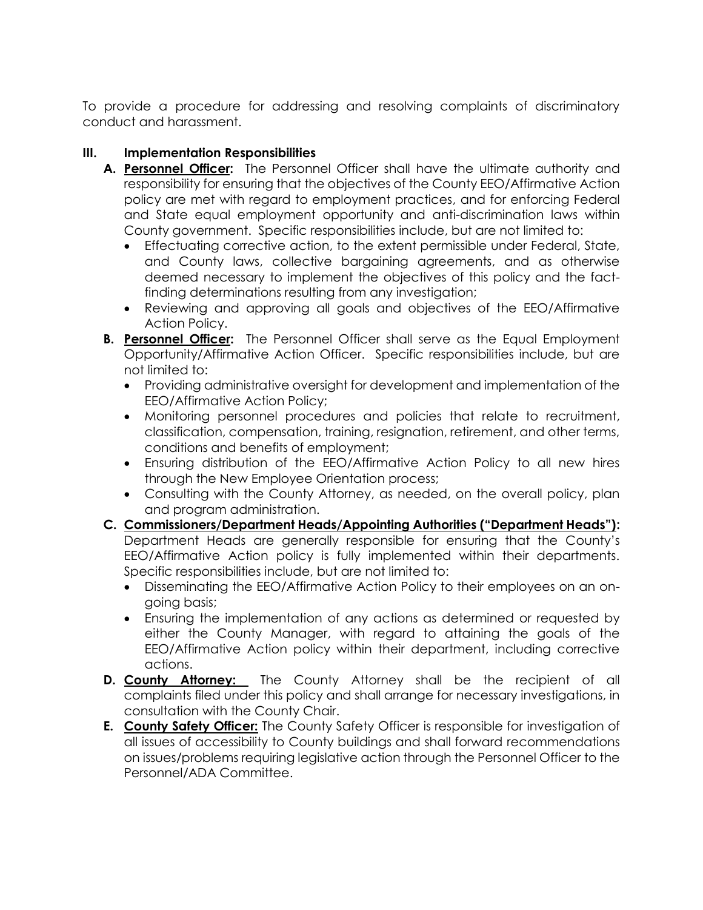To provide a procedure for addressing and resolving complaints of discriminatory conduct and harassment.

### **III. Implementation Responsibilities**

- **A. Personnel Officer:** The Personnel Officer shall have the ultimate authority and responsibility for ensuring that the objectives of the County EEO/Affirmative Action policy are met with regard to employment practices, and for enforcing Federal and State equal employment opportunity and anti-discrimination laws within County government. Specific responsibilities include, but are not limited to:
	- Effectuating corrective action, to the extent permissible under Federal, State, and County laws, collective bargaining agreements, and as otherwise deemed necessary to implement the objectives of this policy and the factfinding determinations resulting from any investigation;
	- Reviewing and approving all goals and objectives of the EEO/Affirmative Action Policy.
- **B. Personnel Officer:** The Personnel Officer shall serve as the Equal Employment Opportunity/Affirmative Action Officer. Specific responsibilities include, but are not limited to:
	- Providing administrative oversight for development and implementation of the EEO/Affirmative Action Policy;
	- Monitoring personnel procedures and policies that relate to recruitment, classification, compensation, training, resignation, retirement, and other terms, conditions and benefits of employment;
	- Ensuring distribution of the EEO/Affirmative Action Policy to all new hires through the New Employee Orientation process;
	- Consulting with the County Attorney, as needed, on the overall policy, plan and program administration.
- **C. Commissioners/Department Heads/Appointing Authorities ("Department Heads"):** Department Heads are generally responsible for ensuring that the County's EEO/Affirmative Action policy is fully implemented within their departments. Specific responsibilities include, but are not limited to:
	- Disseminating the EEO/Affirmative Action Policy to their employees on an ongoing basis;
	- Ensuring the implementation of any actions as determined or requested by either the County Manager, with regard to attaining the goals of the EEO/Affirmative Action policy within their department, including corrective actions.
- **D. County Attorney:** The County Attorney shall be the recipient of all complaints filed under this policy and shall arrange for necessary investigations, in consultation with the County Chair.
- **E. County Safety Officer:** The County Safety Officer is responsible for investigation of all issues of accessibility to County buildings and shall forward recommendations on issues/problems requiring legislative action through the Personnel Officer to the Personnel/ADA Committee.